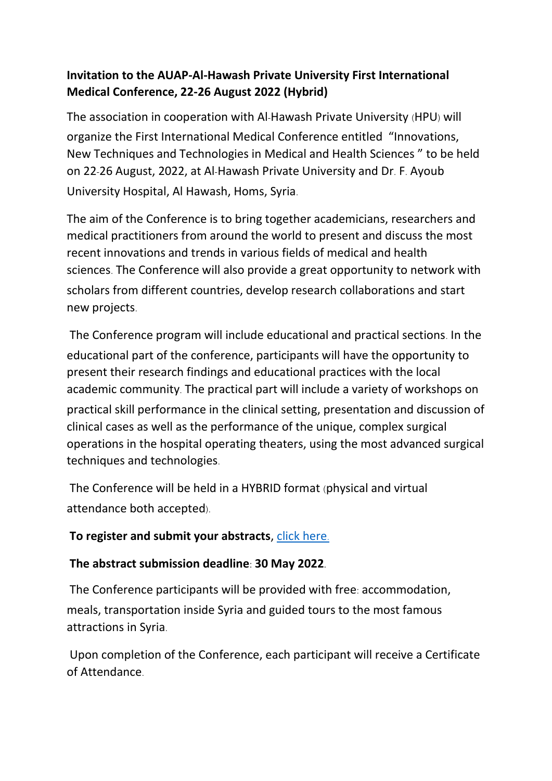## **Invitation to the AUAP-Al-Hawash Private University First International Medical Conference, 22-26 August 2022 (Hybrid)**

The association in cooperation with Al-Hawash Private University (HPU) will organize the First International Medical Conference entitled "Innovations, New Techniques and Technologies in Medical and Health Sciences " to be held on 22-26 August, 2022, at Al-Hawash Private University and Dr. F. Ayoub University Hospital, Al Hawash, Homs, Syria.

The aim of the Conference is to bring together academicians, researchers and medical practitioners from around the world to present and discuss the most recent innovations and trends in various fields of medical and health sciences. The Conference will also provide a great opportunity to network with scholars from different countries, develop research collaborations and start new projects.

The Conference program will include educational and practical sections. In the educational part of the conference, participants will have the opportunity to present their research findings and educational practices with the local academic community. The practical part will include a variety of workshops on practical skill performance in the clinical setting, presentation and discussion of clinical cases as well as the performance of the unique, complex surgical operations in the hospital operating theaters, using the most advanced surgical techniques and technologies.

The Conference will be held in a HYBRID format (physical and virtual attendance both accepted).

## **To register and submit your abstracts**, [click here](http://conference2022.hpu.edu.sy/).

## **The abstract submission deadline: 30 May 2022.**

The Conference participants will be provided with free: accommodation, meals, transportation inside Syria and guided tours to the most famous attractions in Syria.

Upon completion of the Conference, each participant will receive a Certificate of Attendance.